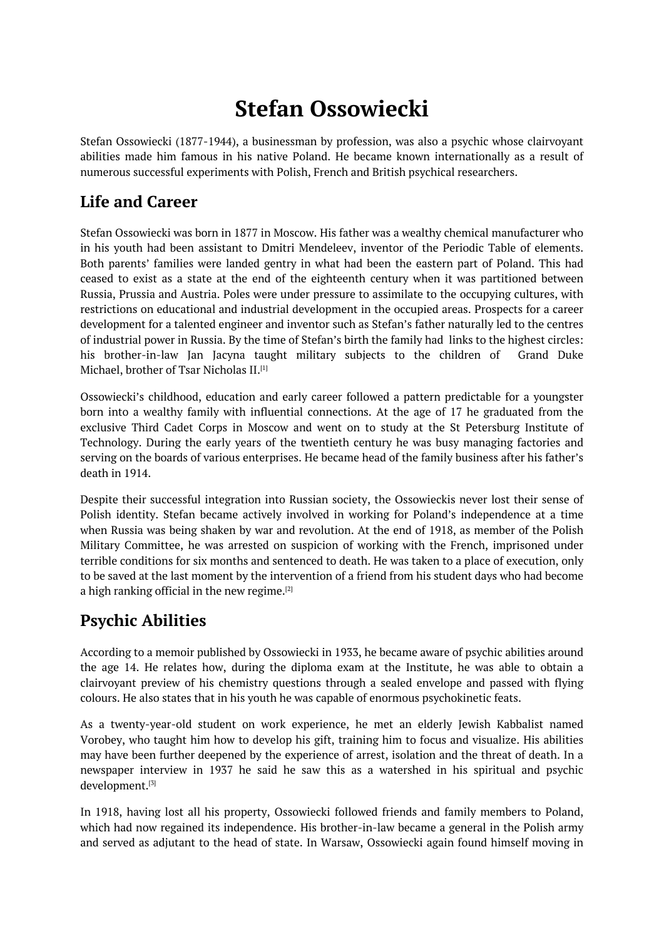# **Stefan Ossowiecki**

<span id="page-0-0"></span>Stefan Ossowiecki (1877-1944), a businessman by profession, was also a psychic whose clairvoyant abilities made him famous in his native Poland. He became known internationally as a result of numerous successful experiments with Polish, French and British psychical researchers.

# **Life and Career**

Stefan Ossowiecki was born in 1877 in Moscow. His father was a wealthy chemical manufacturer who in his youth had been assistant to Dmitri Mendeleev, inventor of the Periodic Table of elements. Both parents' families were landed gentry in what had been the eastern part of Poland. This had ceased to exist as a state at the end of the eighteenth century when it was partitioned between Russia, Prussia and Austria. Poles were under pressure to assimilate to the occupying cultures, with restrictions on educational and industrial development in the occupied areas. Prospects for a career development for a talented engineer and inventor such as Stefan's father naturally led to the centres of industrial power in Russia. By the time of Stefan's birth the family had links to the highest circles: his brother-in-law Jan Jacyna taught military subjects to the children of Grand Duke Michael, brother of Tsar Nicholas II.<sup>[1]</sup>

Ossowiecki's childhood, education and early career followed a pattern predictable for a youngster born into a wealthy family with influential connections. At the age of 17 he graduated from the exclusive Third Cadet Corps in M[os](#page-0-0)cow and went on to study at the St Petersburg Institute of Technology. During the early years of the twentieth century he was busy managing factories and serving on the boards of various enterprises. He became head of the family business after his father's death in 1914.

Despite their successful integration into Russian society, the Ossowieckis never lost their sense of Polish identity. Stefan became actively involved in working for Poland's independence at a time when Russia was being shaken by war and revolution. At the end of 1918, as member of the Polish Military Committee, he was arrested on suspicion of working with the French, imprisoned under terrible conditions for six months and sentenced to death. He was taken to a place of execution, only to be saved at the last moment by the intervention of a friend from his student days who had become a high ranking official in the new regime. $^{[2]}$ 

# **Psychic Abilities**

According to a memoir published by Oss[ow](#page-0-0)iecki in 1933, he became aware of psychic abilities around the age 14. He relates how, during the diploma exam at the Institute, he was able to obtain a clairvoyant preview of his chemistry questions through a sealed envelope and passed with flying colours. He also states that in his youth he was capable of enormous psychokinetic feats.

As a twenty-year-old student on work experience, he met an elderly Jewish Kabbalist named Vorobey, who taught him how to develop his gift, training him to focus and visualize. His abilities may have been further deepened by the experience of arrest, isolation and the threat of death. In a newspaper interview in 1937 he said he saw this as a watershed in his spiritual and psychic development. [3]

In 1918, having lost all his property, Ossowiecki followed friends and family members to Poland, which had now regained its independence. His brother-in-law became a general in the Polish army and served as [a](#page-0-0)djutant to the head of state. In Warsaw, Ossowiecki again found himself moving in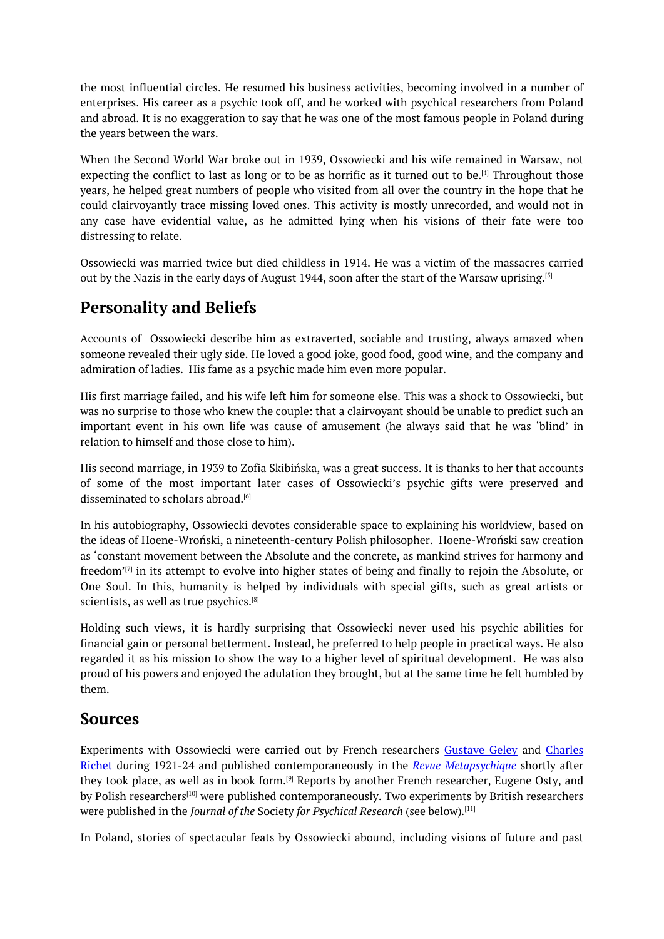the most influential circles. He resumed his business activities, becoming involved in a number of enterprises. His career as a psychic took off, and he worked with psychical researchers from Poland and abroad. It is no exaggeration to say that he was one of the most famous people in Poland during the years between the wars.

When the Second World War broke out in 1939, Ossowiecki and his wife remained in Warsaw, not expecting the conflict to last as long or to be as horrific as it turned out to be.<sup>[4]</sup> Throughout those years, he helped great numbers of people who visited from all over the country in the hope that he could clairvoyantly trace missing loved ones. This activity is mostly unrecorded, and would not in any case have evidential value, as he admitted lying when his visions of [th](#page-0-0)eir fate were too distressing to relate.

Ossowiecki was married twice but died childless in 1914. He was a victim of the massacres carried out by the Nazis in the early days of August 1944, soon after the start of the Warsaw uprising. [5]

### **Personality and Beliefs**

Accounts of Ossowiecki describe him as extraverted, sociable and trusting, always amaz[ed](#page-0-0) when someone revealed their ugly side. He loved a good joke, good food, good wine, and the company and admiration of ladies. His fame as a psychic made him even more popular.

His first marriage failed, and his wife left him for someone else. This was a shock to Ossowiecki, but was no surprise to those who knew the couple: that a clairvoyant should be unable to predict such an important event in his own life was cause of amusement (he always said that he was 'blind' in relation to himself and those close to him).

His second marriage, in 1939 to Zofia Skibińska, was a great success. It is thanks to her that accounts of some of the most important later cases of Ossowiecki's psychic gifts were preserved and disseminated to scholars abroad. [6]

In his autobiography, Ossowiecki devotes considerable space to explaining his worldview, based on the ideas of Hoene-Wroński, a nineteenth-century Polish philosopher. Hoene-Wroński saw creation as 'constant movement between [th](#page-0-0)e Absolute and the concrete, as mankind strives for harmony and freedom' $^{[7]}$  in its attempt to evolve into higher states of being and finally to rejoin the Absolute, or One Soul. In this, humanity is helped by individuals with special gifts, such as great artists or scientists, as well as true psychics. [8]

Holding [su](#page-0-0)ch views, it is hardly surprising that Ossowiecki never used his psychic abilities for financial gain or personal betterment. Instead, he preferred to help people in practical ways. He also regarded it as his mission to sho[w](#page-0-0) the way to a higher level of spiritual development. He was also proud of his powers and enjoyed the adulation they brought, but at the same time he felt humbled by them.

### **Sources**

Experiments with Ossowiecki were carried out by French researchers Gustave Geley and Charles Richet during 1921-24 and published contemporaneously in the *Revue Metapsychique* shortly after they took place, as well as in book form.<sup>[9]</sup> Reports by another French researcher, Eugene Osty, and by Polish researchers<sup>[10]</sup> were published contemporaneously. Two experiments by British researchers were published in the *Journal of the* Society *for Psychical Research* (see below)*.* [11]

In Poland, stories of [sp](#page-0-0)ectacular feats b[y](#page-0-0) Ossowiecki abound, including visions of future and past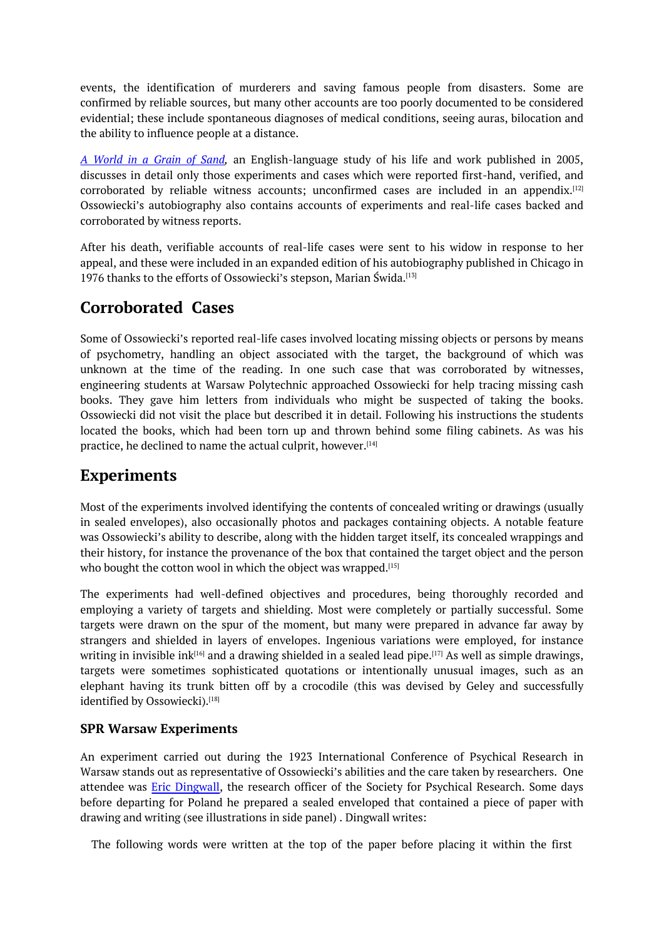events, the identification of murderers and saving famous people from disasters. Some are confirmed by reliable sources, but many other accounts are too poorly documented to be considered evidential; these include spontaneous diagnoses of medical conditions, seeing auras, bilocation and the ability to influence people at a distance.

*A World in a Grain of Sand,* an English-language study of his life and work published in 2005, discusses in detail only those experiments and cases which were reported first-hand, verified, and corroborated by reliable witness accounts; unconfirmed cases are included in an appendix.<sup>[12]</sup> Ossowiecki's autobiography also contains accounts of experiments and real-life cases backed and [corroborated](https://www.amazon.co.uk/World-Grain-Sand-Clairvoyance-Ossowiecki/dp/0786421126/ref=sr_1_3?crid=KCU4TAP85CYR&dchild=1&keywords=a+world+in+a+grain+of+sand&qid=1635256228&qsid=262-9695379-9911210&sprefix=A+World+in+a+Grain+of+Sand%2Caps%2C67&sr=8-3&sres=0399576444%2C1788737466%2C0786421126%2C1499524250%2C1912026392%2C1597526487%2C108850048X%2CB08RT2HXQC%2C1509858709%2C0820412155%2CB00A8PCPNW%2CB089M442DM%2CB089M2J6R1%2C0559456778%2CB079V2WXBM%2C145213779X&srpt=ABIS_BOOK) by witness reports.

After his death, verifiable accounts of real-life cases were sent to his widow in response to [her](#page-0-0) appeal, and these were included in an expanded edition of his autobiography published in Chicago in 1976 thanks to the efforts of Ossowiecki's stepson, Marian Świda. [13]

### **Corroborated Cases**

Some of Ossowiecki's reported real-life cases involved locating [mis](#page-0-0)sing objects or persons by means of psychometry, handling an object associated with the target, the background of which was unknown at the time of the reading. In one such case that was corroborated by witnesses, engineering students at Warsaw Polytechnic approached Ossowiecki for help tracing missing cash books. They gave him letters from individuals who might be suspected of taking the books. Ossowiecki did not visit the place but described it in detail. Following his instructions the students located the books, which had been torn up and thrown behind some filing cabinets. As was his practice, he declined to name the actual culprit, however. [14]

### **Experiments**

Most of the experiments involved identifying the conten[ts](#page-0-0) of concealed writing or drawings (usually in sealed envelopes), also occasionally photos and packages containing objects. A notable feature was Ossowiecki's ability to describe, along with the hidden target itself, its concealed wrappings and their history, for instance the provenance of the box that contained the target object and the person who bought the cotton wool in which the object was wrapped.  $^{\left[ 15\right] }$ 

The experiments had well-defined objectives and procedures, being thoroughly recorded and employing a variety of targets and shielding. Most were completely or partially successful. Some targets were drawn on the spur of the moment, but many [we](#page-0-0)re prepared in advance far away by strangers and shielded in layers of envelopes. Ingenious variations were employed, for instance writing in invisible ink $^{\rm 161}$  and a drawing shielded in a sealed lead pipe. $^{\rm 117]}$  As well as simple drawings, targets were sometimes sophisticated quotations or intentionally unusual images, such as an elephant having its trunk bitten off by a crocodile (this was devised by Geley and successfully identified by Ossowiec[ki\)](#page-0-0). [18]

#### **SPR Warsaw Experiments**

An experiment carried [out](#page-0-0) during the 1923 International Conference of Psychical Research in Warsaw stands out as representative of Ossowiecki's abilities and the care taken by researchers. One attendee was Eric Dingwall, the research officer of the Society for Psychical Research. Some days before departing for Poland he prepared a sealed enveloped that contained a piece of paper with drawing and writing (see illustrations in side panel) . Dingwall writes:

The following words were written at the top of the paper before placing it within the first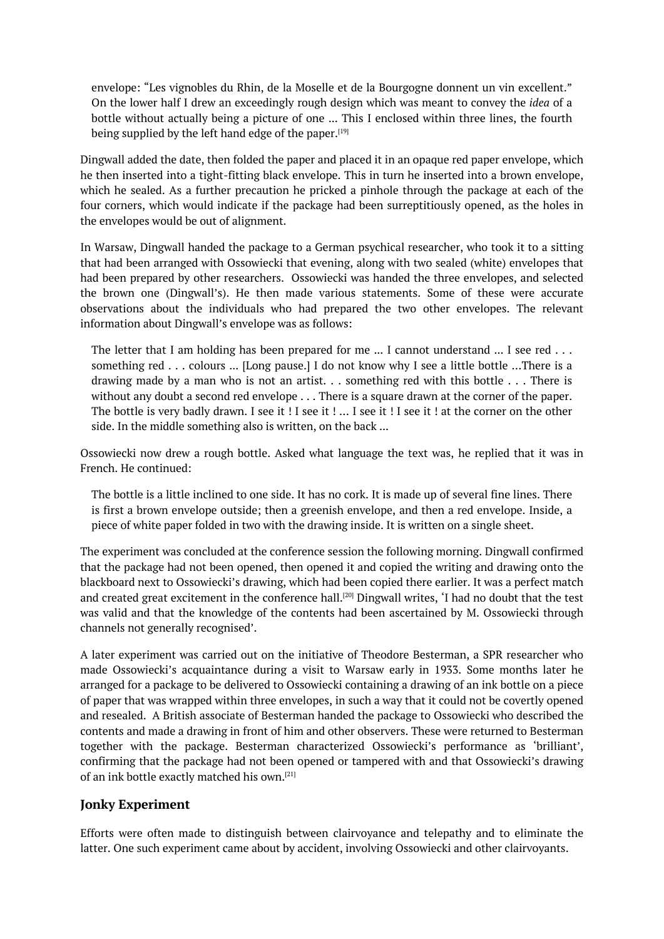envelope: "Les vignobles du Rhin, de la Moselle et de la Bourgogne donnent un vin excellent." On the lower half I drew an exceedingly rough design which was meant to convey the *idea* of a bottle without actually being a picture of one ... This I enclosed within three lines, the fourth being supplied by the left hand edge of the paper.[19]

Dingwall added the date, then folded the paper and placed it in an opaque red paper envelope, which he then inserted into a tight-fitting black envelope. This in turn he inserted into a brown envelope, which he sealed. As a further precaution he prick[ed](#page-0-0) a pinhole through the package at each of the four corners, which would indicate if the package had been surreptitiously opened, as the holes in the envelopes would be out of alignment.

In Warsaw, Dingwall handed the package to a German psychical researcher, who took it to a sitting that had been arranged with Ossowiecki that evening, along with two sealed (white) envelopes that had been prepared by other researchers. Ossowiecki was handed the three envelopes, and selected the brown one (Dingwall's). He then made various statements. Some of these were accurate observations about the individuals who had prepared the two other envelopes. The relevant information about Dingwall's envelope was as follows:

The letter that I am holding has been prepared for me  $\dots$  I cannot understand  $\dots$  I see red  $\dots$ something red . . . colours ... [Long pause.] I do not know why I see a little bottle ...There is a drawing made by a man who is not an artist. . . something red with this bottle . . . There is without any doubt a second red envelope . . . There is a square drawn at the corner of the paper. The bottle is very badly drawn. I see it ! I see it ! ... I see it ! I see it ! at the corner on the other side. In the middle something also is written, on the back ...

Ossowiecki now drew a rough bottle. Asked what language the text was, he replied that it was in French. He continued:

The bottle is a little inclined to one side. It has no cork. It is made up of several fine lines. There is first a brown envelope outside; then a greenish envelope, and then a red envelope. Inside, a piece of white paper folded in two with the drawing inside. It is written on a single sheet.

The experiment was concluded at the conference session the following morning. Dingwall confirmed that the package had not been opened, then opened it and copied the writing and drawing onto the blackboard next to Ossowiecki's drawing, which had been copied there earlier. It was a perfect match and created great excitement in the conference hall. $^{\rm [20]}$  Dingwall writes, 'I had no doubt that the test was valid and that the knowledge of the contents had been ascertained by M. Ossowiecki through channels not generally recognised'.

A later experiment was carried out on the initiative [o](#page-0-0)f Theodore Besterman, a SPR researcher who made Ossowiecki's acquaintance during a visit to Warsaw early in 1933. Some months later he arranged for a package to be delivered to Ossowiecki containing a drawing of an ink bottle on a piece of paper that was wrapped within three envelopes, in such a way that it could not be covertly opened and resealed. A British associate of Besterman handed the package to Ossowiecki who described the contents and made a drawing in front of him and other observers. These were returned to Besterman together with the package. Besterman characterized Ossowiecki's performance as 'brilliant', confirming that the package had not been opened or tampered with and that Ossowiecki's drawing of an ink bottle exactly matched his own. [21]

#### **Jonky Experiment**

Efforts were often made to distinguish [be](#page-0-0)tween clairvoyance and telepathy and to eliminate the latter. One such experiment came about by accident, involving Ossowiecki and other clairvoyants.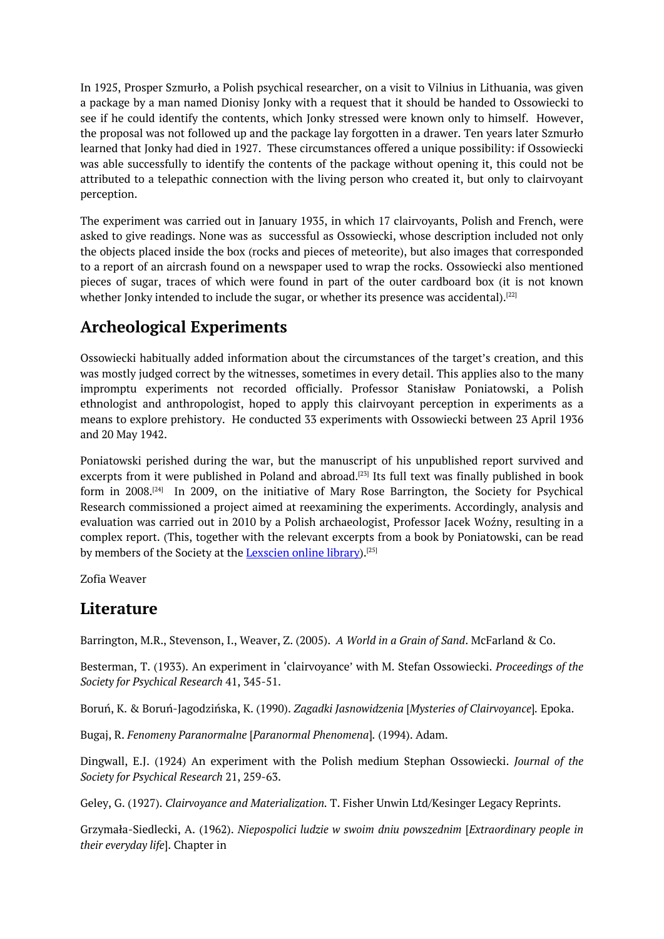In 1925, Prosper Szmurło, a Polish psychical researcher, on a visit to Vilnius in Lithuania, was given a package by a man named Dionisy Jonky with a request that it should be handed to Ossowiecki to see if he could identify the contents, which Jonky stressed were known only to himself. However, the proposal was not followed up and the package lay forgotten in a drawer. Ten years later Szmurło learned that Jonky had died in 1927. These circumstances offered a unique possibility: if Ossowiecki was able successfully to identify the contents of the package without opening it, this could not be attributed to a telepathic connection with the living person who created it, but only to clairvoyant perception.

The experiment was carried out in January 1935, in which 17 clairvoyants, Polish and French, were asked to give readings. None was as successful as Ossowiecki, whose description included not only the objects placed inside the box (rocks and pieces of meteorite), but also images that corresponded to a report of an aircrash found on a newspaper used to wrap the rocks. Ossowiecki also mentioned pieces of sugar, traces of which were found in part of the outer cardboard box (it is not known whether Jonky intended to include the sugar, or whether its presence was accidental). $^{\left[ 22\right] }$ 

## **Archeological Experiments**

Ossowiecki habitually added information about the circumstances of the target's cr[eat](#page-0-0)ion, and this was mostly judged correct by the witnesses, sometimes in every detail. This applies also to the many impromptu experiments not recorded officially. Professor Stanisław Poniatowski, a Polish ethnologist and anthropologist, hoped to apply this clairvoyant perception in experiments as a means to explore prehistory. He conducted 33 experiments with Ossowiecki between 23 April 1936 and 20 May 1942.

Poniatowski perished during the war, but the manuscript of his unpublished report survived and excerpts from it were published in Poland and abroad.<sup>[23]</sup> Its full text was finally published in book form in 2008. [24] In 2009, on the initiative of Mary Rose Barrington, the Society for Psychical Research commissioned a project aimed at reexamining the experiments. Accordingly, analysis and evaluation was carried out in 2010 by a Polish archae[olog](#page-0-0)ist, Professor Jacek Woźny, resulting in a complex repo[rt.](#page-0-0) (This, together with the relevant excerpts from a book by Poniatowski, can be read by members of the Society at the <u>Lexscien online library</u>).<sup>[25]</sup>

Zofia Weaver

### **Literature**

Barrington, M.R., Stevenson, I., Weaver, Z. (2005). *A World in a Grain of Sand*. McFarland & Co.

Besterman, T. (1933). An experiment in 'clairvoyance' with M. Stefan Ossowiecki. *Proceedings of the Society for Psychical Research* 41, 345-51.

Boruń, K. & Boruń-Jagodzińska, K. (1990). *Zagadki Jasnowidzenia* [*Mysteries of Clairvoyance*]*.* Epoka.

Bugaj, R. *Fenomeny Paranormalne* [*Paranormal Phenomena*]*.* (1994). Adam.

Dingwall, E.J. (1924) An experiment with the Polish medium Stephan Ossowiecki. *Journal of the Society for Psychical Research* 21, 259-63.

Geley, G. (1927). *Clairvoyance and Materialization.* T. Fisher Unwin Ltd/Kesinger Legacy Reprints.

Grzymała-Siedlecki, A. (1962). *Niepospolici ludzie w swoim dniu powszednim* [*Extraordinary people in their everyday life*]. Chapter in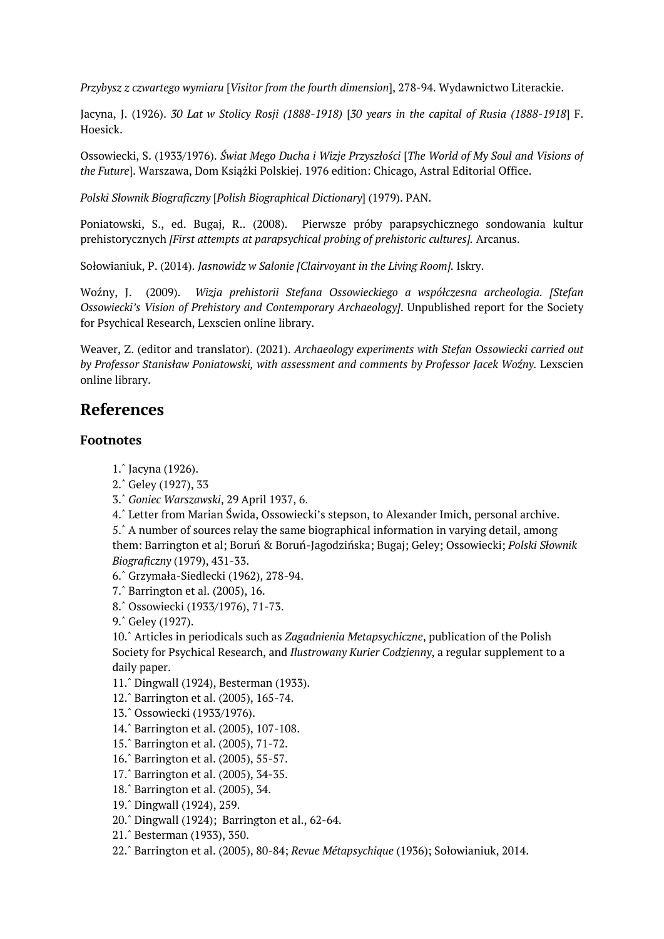*Przybysz z czwartego wymiaru* [*Visitor from the fourth dimension*], 278-94. Wydawnictwo Literackie.

Jacyna, J. (1926). *30 Lat w Stolicy Rosji (1888-1918)* [*30 years in the capital of Rusia (1888-1918*] F. Hoesick.

Ossowiecki, S. (1933/1976). *Świat Mego Ducha i Wizje Przyszłości* [*The World of My Soul and Visions of the Future*]. Warszawa, Dom Książki Polskiej. 1976 edition: Chicago, Astral Editorial Office.

*Polski Słownik Biograficzny* [*Polish Biographical Dictionary*] (1979). PAN.

Poniatowski, S., ed. Bugaj, R.. (2008). Pierwsze próby parapsychicznego sondowania kultur prehistorycznych *[First attempts at parapsychical probing of prehistoric cultures].* Arcanus.

Sołowianiuk, P. (2014). *Jasnowidz w Salonie [Clairvoyant in the Living Room].* Iskry.

Woźny, J. (2009). *Wizja prehistorii Stefana Ossowieckiego a współczesna archeologia. [Stefan Ossowiecki's Vision of Prehistory and Contemporary Archaeology]*. Unpublished report for the Society for Psychical Research, Lexscien online library.

Weaver, Z. (editor and translator). (2021). *Archaeology experiments with Stefan Ossowiecki carried out by Professor Stanisław Poniatowski, with assessment and comments by Professor Jacek Woźny.* Lexscien online library.

## **References**

#### **Footnotes**

- 1.ˆ Jacyna (1926).
- 2.ˆ Geley (1927), 33
- 3.ˆ *Goniec Warszawski*, 29 April 1937, 6.
- 4.ˆ Letter from Marian Świda, Ossowiecki's stepson, to Alexander Imich, personal archive.

[5.ˆ](#page-0-0) A number of sources relay the same biographical information in varying detail, among [the](#page-0-0)m: Barrington et al; Boruń & Boruń-Jagodzińska; Bugaj; Geley; Ossowiecki; *Polski Słownik [Bio](#page-0-0)graficzny* (1979), 431-33.

[6.ˆ](#page-0-0) Grzymała-Siedlecki (1962), 278-94.

- [7.ˆ](#page-0-0) Barrington et al. (2005), 16.
- 8.ˆ Ossowiecki (1933/1976), 71-73.
- 9.ˆ Geley (1927).

[10.](#page-0-0)ˆ Articles in periodicals such as *Zagadnienia Metapsychiczne*, publication of the Polish [Soc](#page-0-0)iety for Psychical Research, and *Ilustrowany Kurier Codzienny*, a regular supplement to a [dai](#page-0-0)ly paper.

- [11.](#page-0-0)ˆ Dingwall (1924), Besterman (1933).
- [12.ˆ](#page-0-0) Barrington et al. (2005), 165-74.
- 13.ˆ Ossowiecki (1933/1976).
- 14.ˆ Barrington et al. (2005), 107-108.
- [15.ˆ](#page-0-0) Barrington et al. (2005), 71-72.
- [16.ˆ](#page-0-0) Barrington et al. (2005), 55-57.
- [17.ˆ](#page-0-0) Barrington et al. (2005), 34-35.
- [18.ˆ](#page-0-0) Barrington et al. (2005), 34.
- [19.ˆ](#page-0-0) Dingwall (1924), 259.
- [20.ˆ](#page-0-0) Dingwall (1924); Barrington et al., 62-64.
- [21.ˆ](#page-0-0) Besterman (1933), 350.
- [22.ˆ](#page-0-0) Barrington et al. (2005), 80-84; *Revue Métapsychique* (1936); Sołowianiuk, 2014.